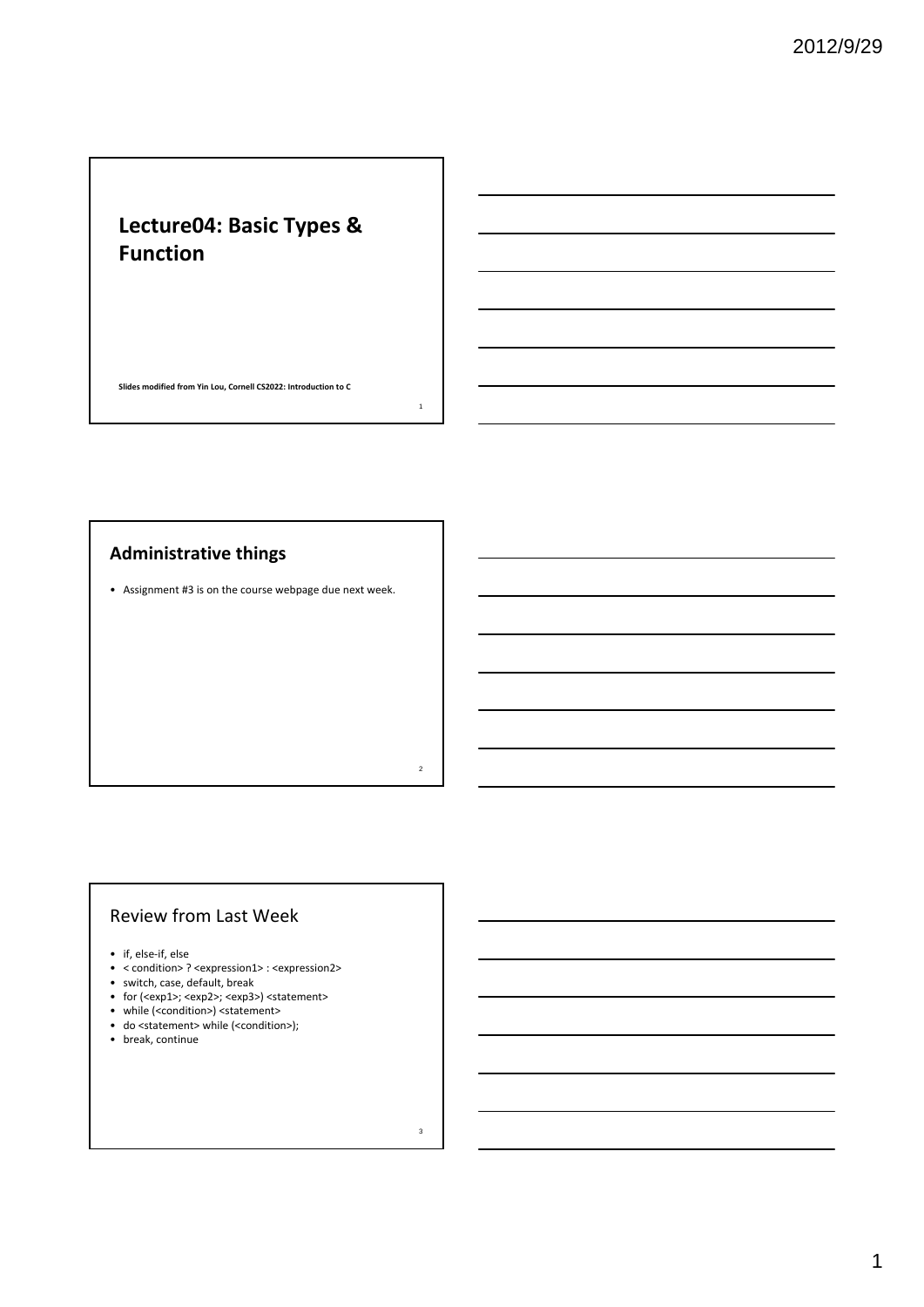## **Lecture04: Basic Types & Function**

**Slides modified from Yin Lou, Cornell CS2022: Introduction to C**

1

2

3

#### **Administrative things**

• Assignment #3 is on the course webpage due next week.

#### Review from Last Week

- if, else‐if, else
- < condition> ? <expression1> : <expression2>
- switch, case, default, break
- for (<exp1>; <exp2>; <exp3>) <statement>
- while (<condition>) <statement>
- do <statement> while (<condition>);
- break, continue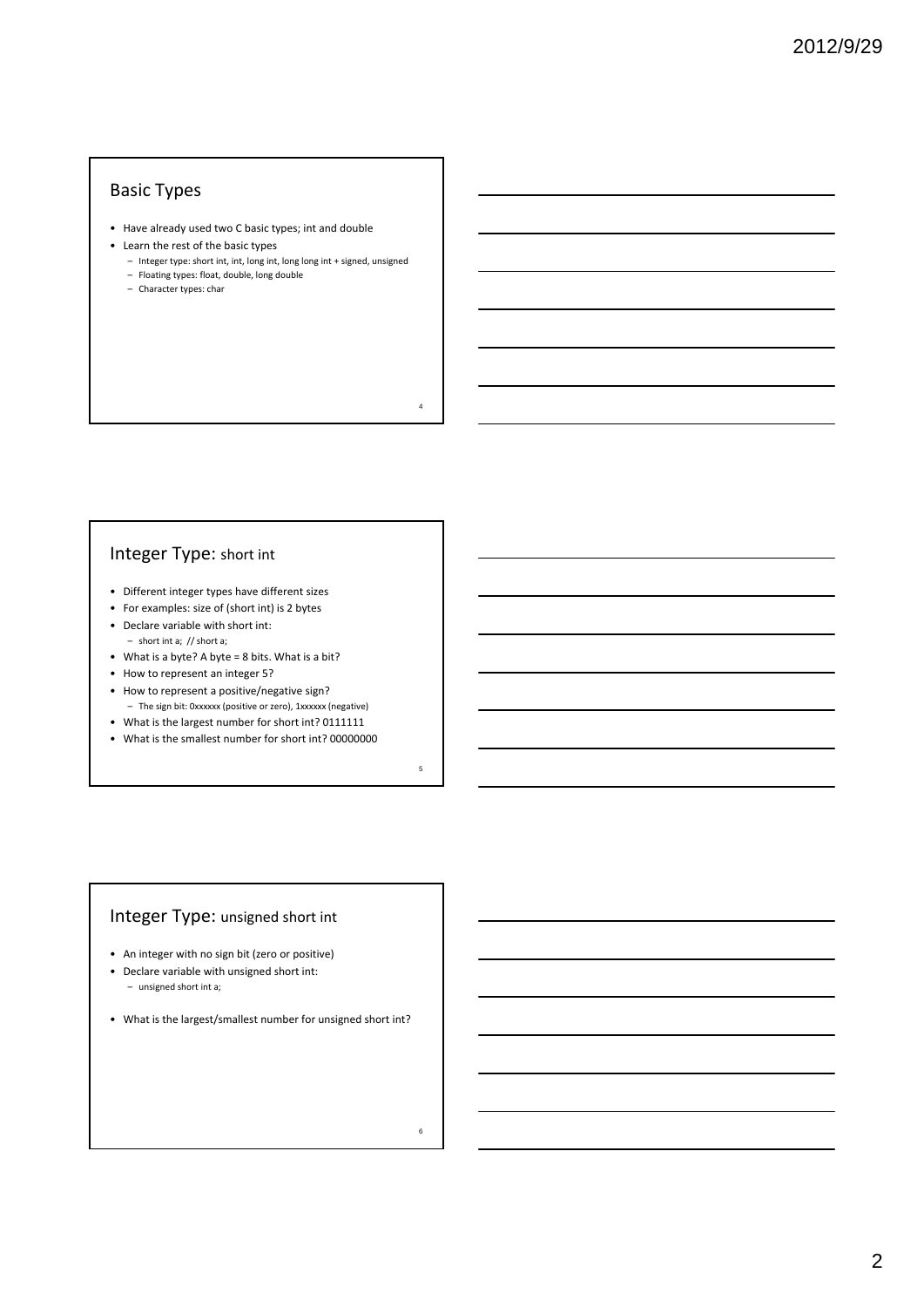## Basic Types

- Have already used two C basic types; int and double
- Learn the rest of the basic types
	- Integer type: short int, int, long int, long long int + signed, unsigned – Floating types: float, double, long double

4

5

6

- 
- Character types: char

## Integer Type: short int

- Different integer types have different sizes
- For examples: size of (short int) is 2 bytes
- Declare variable with short int: – short int a; // short a;
- What is a byte? A byte = 8 bits. What is a bit?
- How to represent an integer 5?
- How to represent a positive/negative sign?
- The sign bit: 0xxxxxx (positive or zero), 1xxxxxx (negative)
- What is the largest number for short int? 0111111
- What is the smallest number for short int? 00000000

## Integer Type: unsigned short int

- An integer with no sign bit (zero or positive)
- Declare variable with unsigned short int:
- unsigned short int a;
- What is the largest/smallest number for unsigned short int?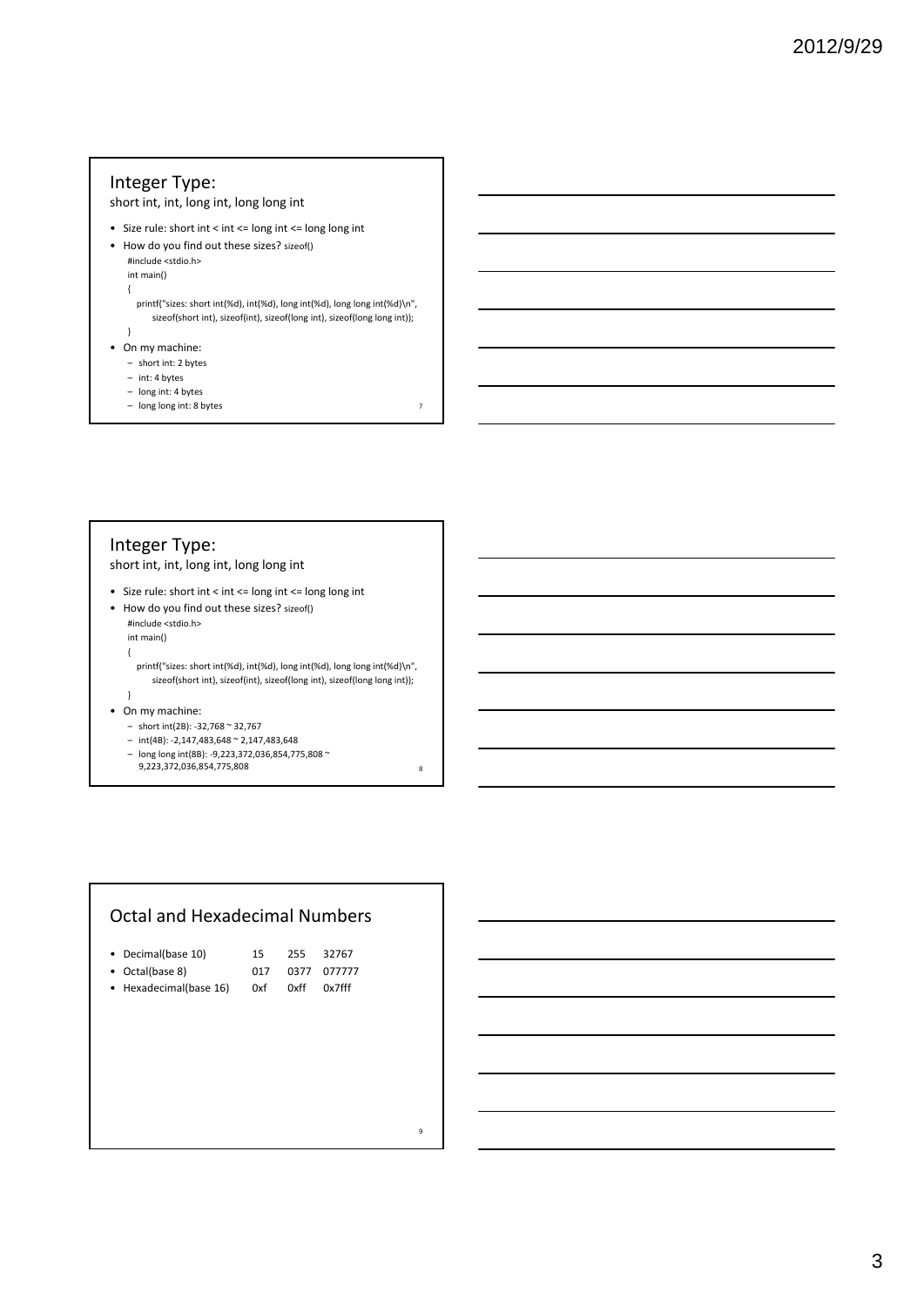### Integer Type:

short int, int, long int, long long int

- Size rule: short int < int <= long int <= long long int
- How do you find out these sizes? sizeof() #include <stdio.h>

int main() {

printf("sizes: short int(%d), int(%d), long int(%d), long long int(%d)\n", sizeof(short int), sizeof(int), sizeof(long int), sizeof(long long int));

- }
- On my machine:
	- short int: 2 bytes
	- int: 4 bytes
	- long int: 4 bytes
	- long long int: 8 bytes <sup>7</sup>

#### Integer Type: short int, int, long int, long long int

• Size rule: short int < int <= long int <= long long int

• How do you find out these sizes? sizeof() #include <stdio.h> int main()

{

printf("sizes: short int(%d), int(%d), long int(%d), long long int(%d)\n", sizeof(short int), sizeof(int), sizeof(long int), sizeof(long long int));

}

- On my machine:
	- short int(2B): ‐32,768 ~ 32,767
	- int(4B): ‐2,147,483,648 ~ 2,147,483,648
	- $\log \log \frac{1}{188}$ : -9,223,372,036,854,775,808 ~
	- 9,223,372,036,854,775,808 8

#### Octal and Hexadecimal Numbers

|  | • Decimal(base 10) |  |  | 255 32767 |
|--|--------------------|--|--|-----------|
|--|--------------------|--|--|-----------|

- Octal(base 8) 017 0377 077777
- Hexadecimal(base 16) 0xf 0xff 0x7fff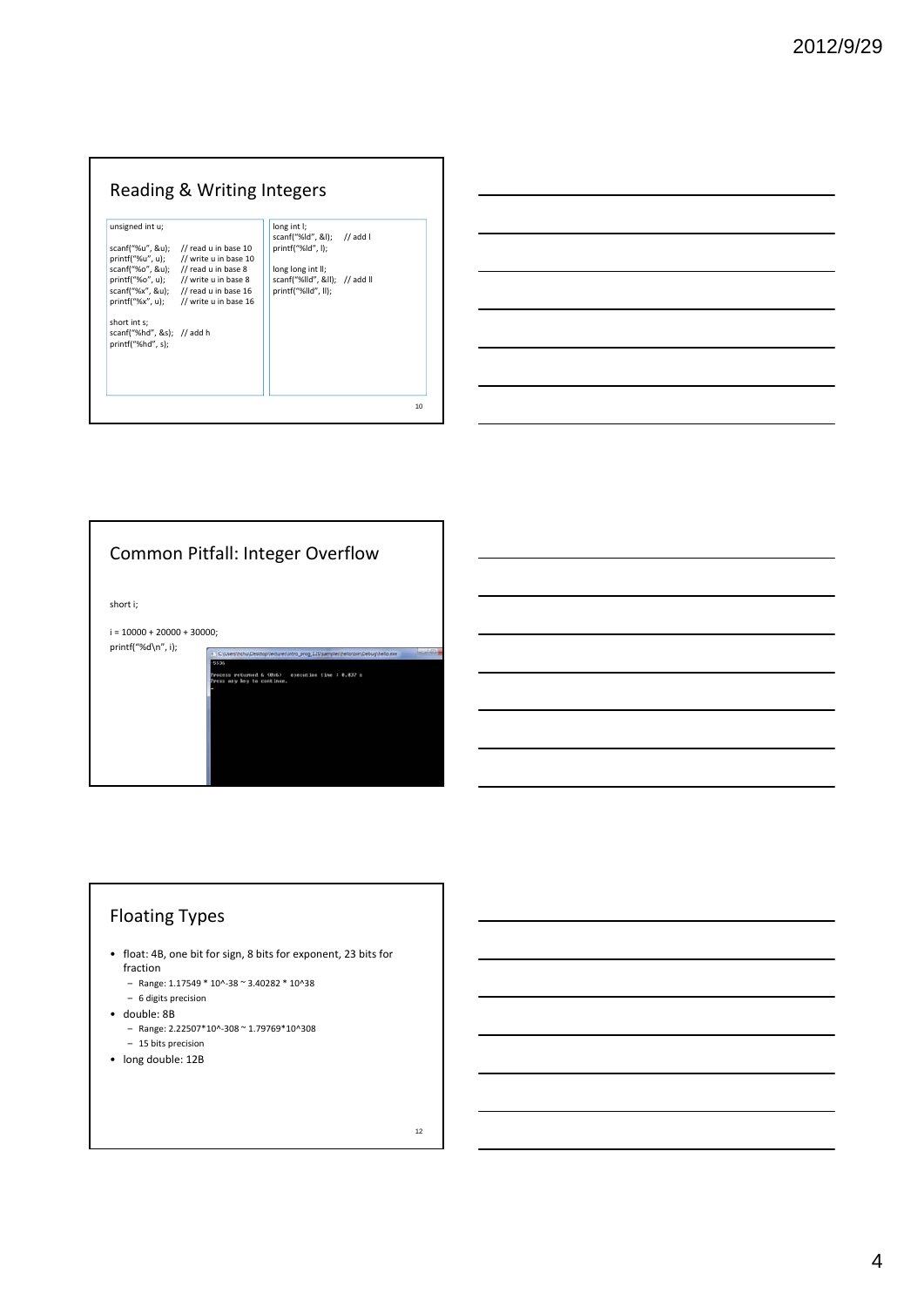## Reading & Writing Integers

| scanf("%hd", &s); // add h | scanf("%u", &u);                  | // read u in base 10<br>printf("%u", u); // write u in base 10<br>scanf("%o", &u); // read u in base 8<br>printf("%o", u); // write u in base 8<br>scanf("%x", &u); $\frac{1}{2}$ read u in base 16<br>printf("%x", u); // write u in base 16 | scanf("%ld", &l); // add l<br>print(f''%Id'', I);<br>long long int II;<br>scanf("%lld", ≪); // add ll<br>printf("%lld", ll): |  |
|----------------------------|-----------------------------------|-----------------------------------------------------------------------------------------------------------------------------------------------------------------------------------------------------------------------------------------------|------------------------------------------------------------------------------------------------------------------------------|--|
|                            | short int s:<br>printf("%hd", s); |                                                                                                                                                                                                                                               |                                                                                                                              |  |



## Floating Types

- float: 4B, one bit for sign, 8 bits for exponent, 23 bits for fraction
	- Range: 1.17549 \* 10^‐38 ~ 3.40282 \* 10^38
	- 6 digits precision
- double: 8B
	- Range: 2.22507\*10^‐308 ~ 1.79769\*10^308
	- 15 bits precision
- long double: 12B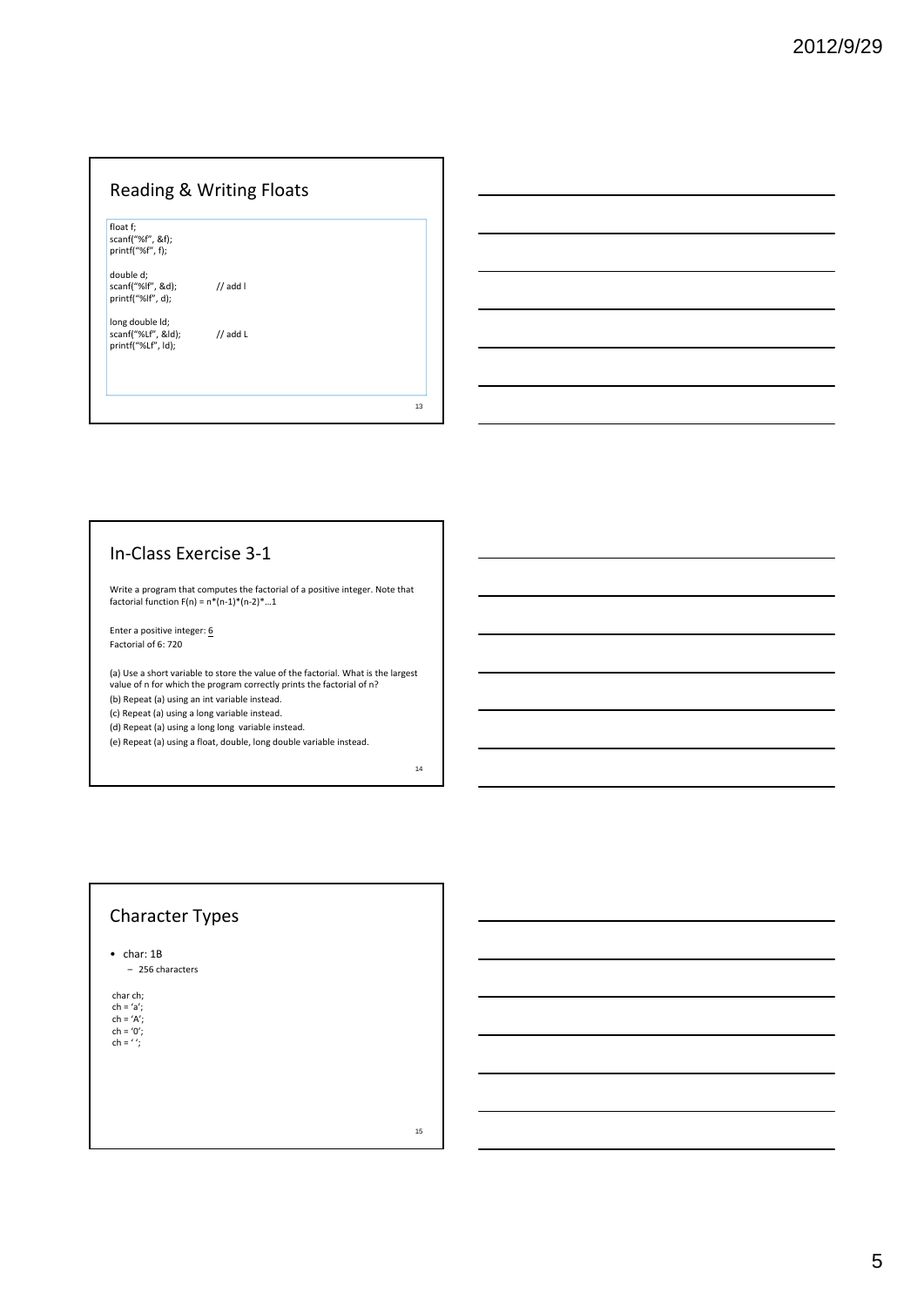## Reading & Writing Floats

float f; scanf("%f", &f); printf("%f", f);

double d;

scanf("%lf", &d); // add l printf("%lf", d);

long double ld;<br>scanf("%Lf", &ld); // add L<br>printf("%Lf", ld);

#### In‐Class Exercise 3‐1

Write a program that computes the factorial of a positive integer. Note that factorial function F(n) = n\*(n‐1)\*(n‐2)\*…1

Enter a positive integer:  $\underline{6}$ Factorial of 6: 720

(a) Use a short variable to store the value of the factorial. What is the largest value of n for which the program correctly prints the factorial of n? (b) Repeat (a) using an int variable instead.

(c) Repeat (a) using a long variable instead.

(d) Repeat (a) using a long long variable instead.

(e) Repeat (a) using a float, double, long double variable instead.

#### Character Types

• char: 1B

– 256 characters

char ch; ch =  $a$ ; ch = 'A'; ch = '0'; ch = ' ';

15

13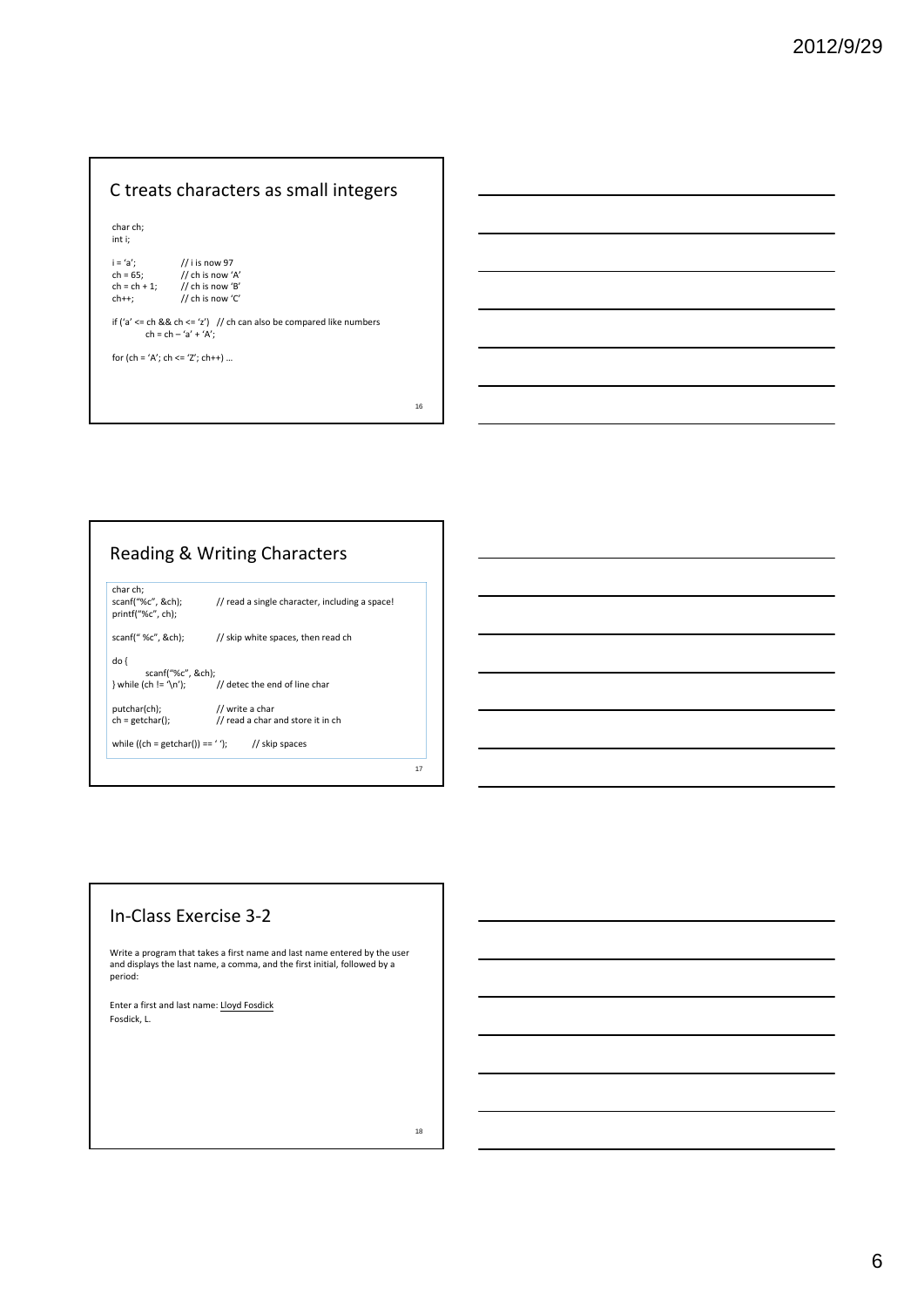## C treats characters as small integers

char ch; int i;

| $i = 'a';$      | // i is now 97                                          |
|-----------------|---------------------------------------------------------|
| $ch = 65:$      | // ch is now 'A'                                        |
| $ch = ch + 1$ ; | $\frac{1}{2}$ ch is now 'B'                             |
| $ch++$ :        | // ch is now $'C'$                                      |
|                 |                                                         |
|                 | if $l's' < -ch$ R.R. ch $\lt - \lt' s'$ ) II ch can als |

if ('a' <= ch && ch <= 'z') // ch can also be compared like numbers ch = ch – 'a' + 'A';

16

18

for (ch = 'A'; ch <= 'Z'; ch++) ...

## Reading & Writing Characters

|                                                    |                                                          | 17 |
|----------------------------------------------------|----------------------------------------------------------|----|
| while $((ch = getchar()) == '');$ // skip spaces   |                                                          |    |
| putchar(ch);<br>$ch = getchar()$ ;                 | // write a char<br>// read a char and store it in ch     |    |
| do {<br>scanf("%c", &ch);                          | $\}$ while (ch != $\ln$ ); // detec the end of line char |    |
| scanf(" $\%c$ ", &ch);                             | // skip white spaces, then read ch                       |    |
| char ch:<br>scanf("%c", &ch);<br>printf("%c", ch): | // read a single character, including a space!           |    |

#### In‐Class Exercise 3‐2

Write a program that takes a first name and last name entered by the user and displays the last name, a comma, and the first initial, followed by a period:

Enter a first and last name: Lloyd Fosdick Fosdick, L.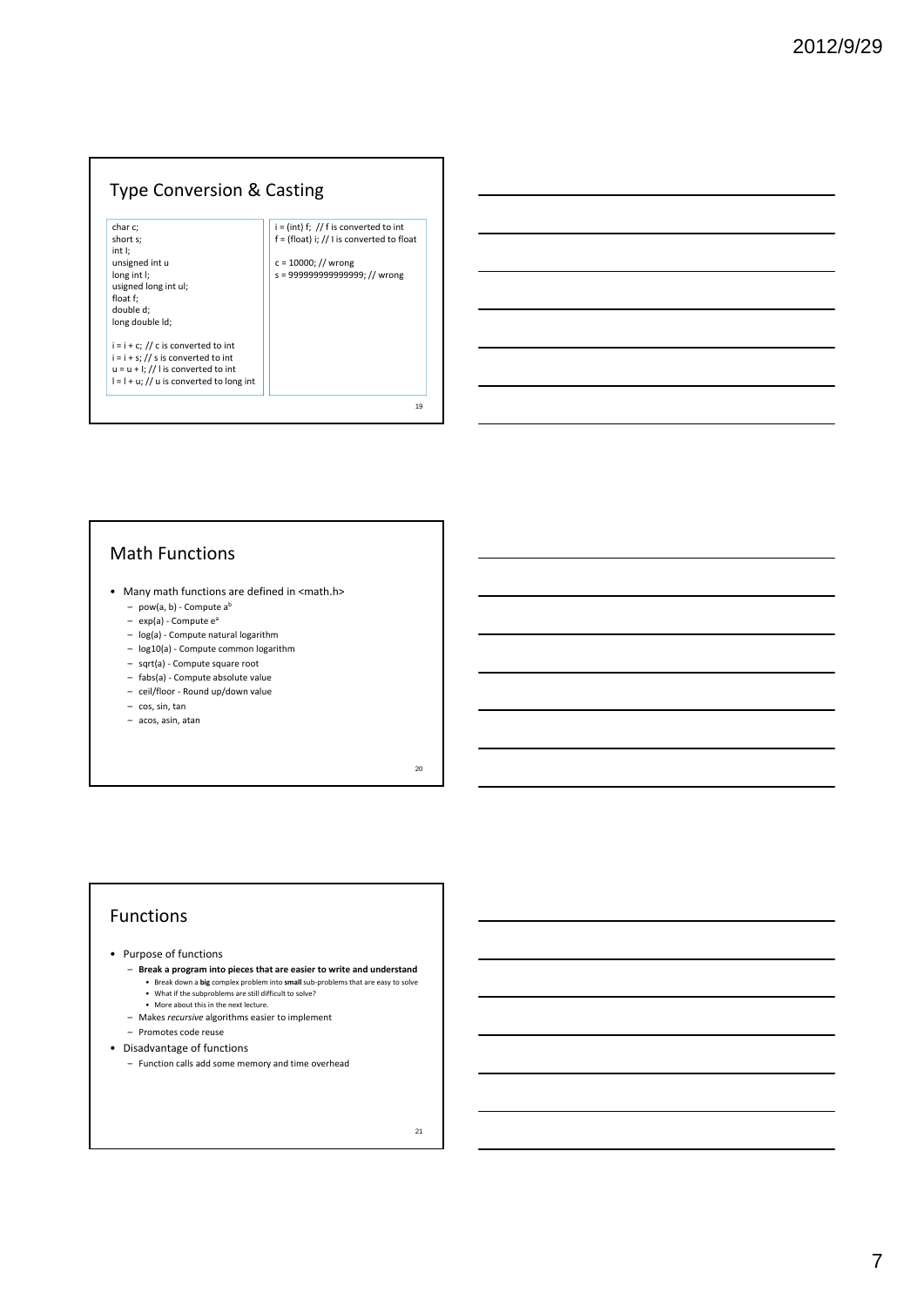#### Type Conversion & Casting

char c; short s; int I; unsigned int u long int I; usigned long int ul; float f; double d; long double ld;

 $i = i + c$ ; // c is converted to int  $i = i + s$ ; // s is converted to int  $u = u + 1$ ; // I is converted to int  $l = l + u$ ; // u is converted to long int

## $i = (int) f$ ; // f is converted to int  $f = (f$ loat) i; // I is converted to float c = 10000; // wrong s = 999999999999999; // wrong

### Math Functions

- Many math functions are defined in <math.h>
	- pow(a, b) ‐ Compute ab
	- $-$  exp(a) Compute  $e^a$
	- log(a) ‐ Compute natural logarithm
	- log10(a) ‐ Compute common logarithm
	- sqrt(a) ‐ Compute square root
	- fabs(a) ‐ Compute absolute value
	- ceil/floor ‐ Round up/down value
	- cos, sin, tan
	- acos, asin, atan

20

19

#### Functions

- Purpose of functions
	- **Break a program into pieces that are easier to write and understand**
		- Break down a **big** complex problem into **small** sub-problems that are easy to solve<br>• What if the subproblems are still difficult to solve?
		- More about this in the next lecture.
	- Makes *recursive* algorithms easier to implement
	- Promotes code reuse
- Disadvantage of functions
	- Function calls add some memory and time overhead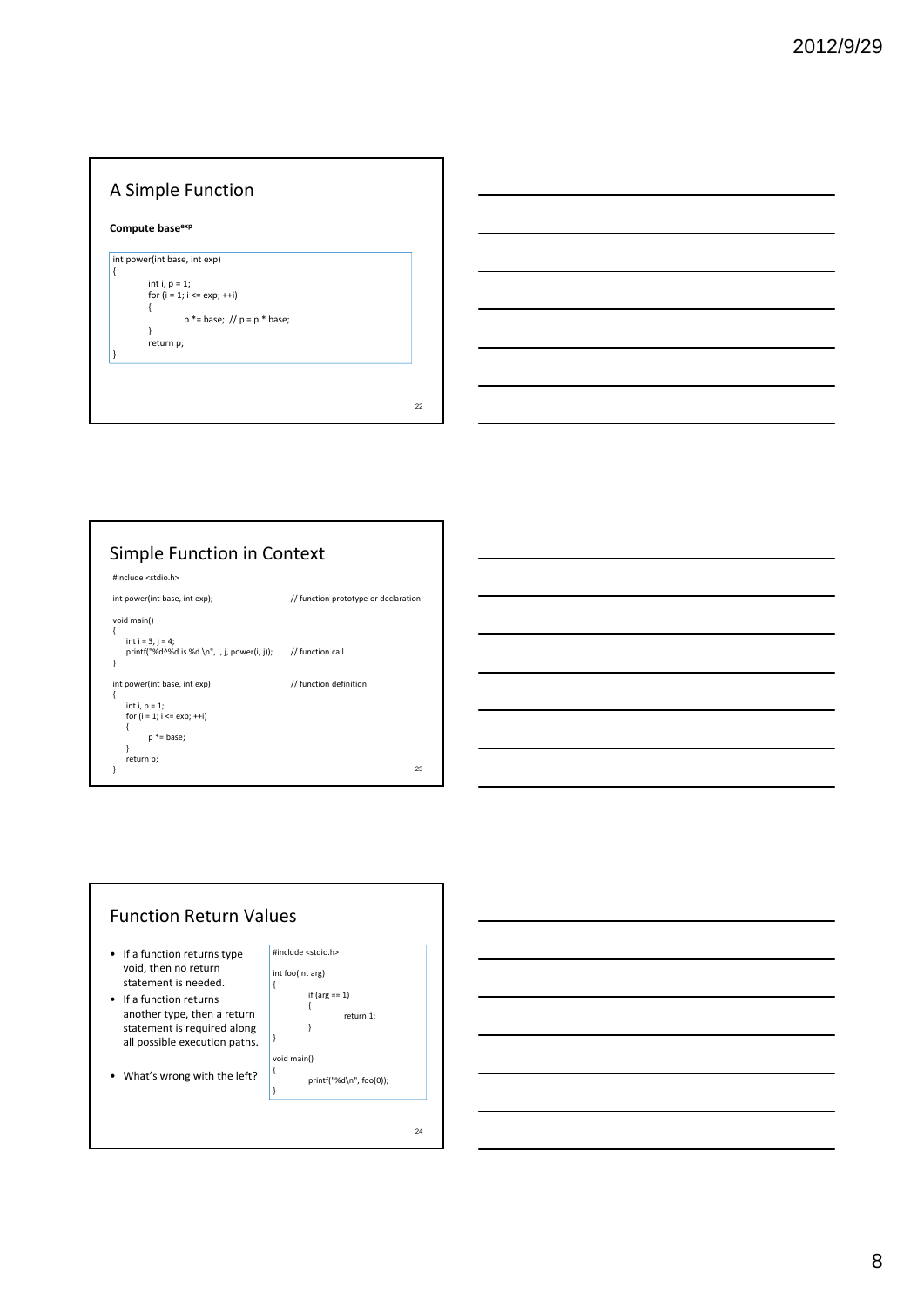#### A Simple Function **Compute baseexp** 22 int power(int base, int exp) ∣ { int i,  $p = 1$ ; for  $(i = 1; i \leq exp; ++i)$ { p \*= base; // p = p \* base; } return p; }

#### Simple Function in Context #include <stdio.h> int power(int base, int exp);  $\frac{1}{2}$  // function prototype or declaration void main() { int  $i = 3$ ,  $j = 4$ ; printf("%d^%d is %d.\n", i, j, power(i, j)); // function call } int power(int base, int exp)  $\frac{1}{2}$  // function definition { int i, p = 1; for  $(i = 1; i \leq exp; ++i)$ { p \*= base; } return p; } 23

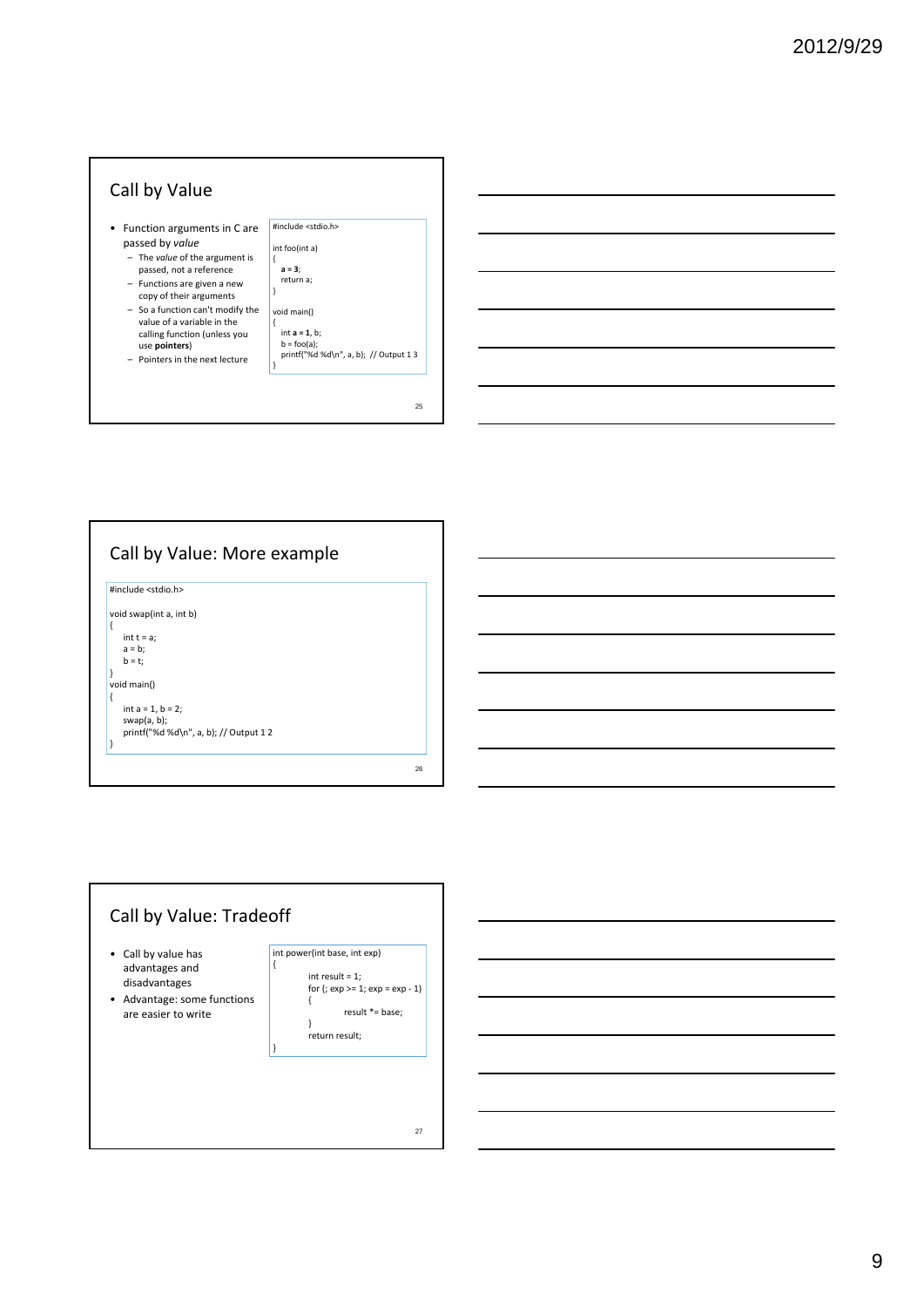



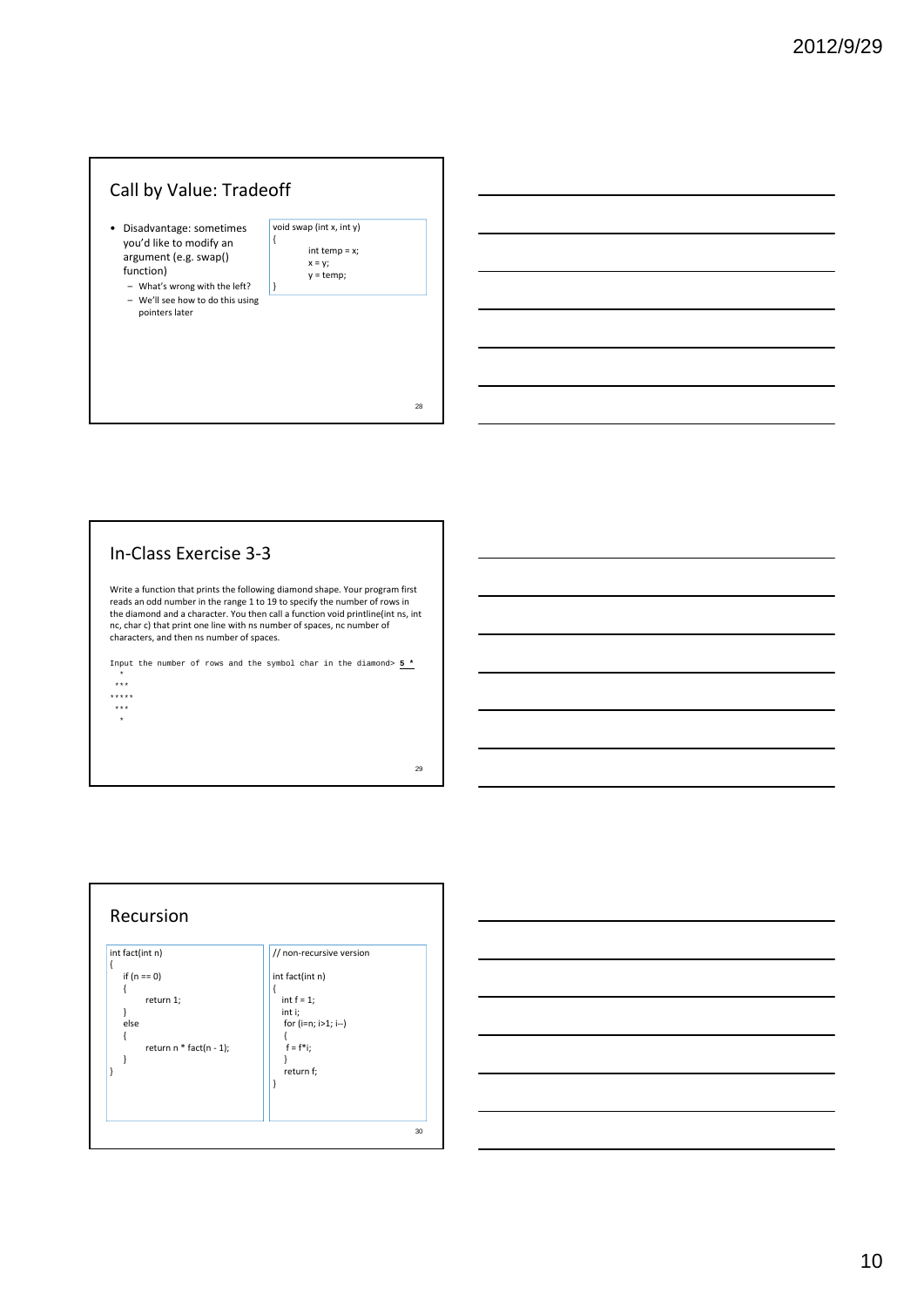## Call by Value: Tradeoff

- Disadvantage: sometimes you'd like to modify an argument (e.g. swap() function)
	- What's wrong with the left? – We'll see how to do this using pointers later

| void swap (int x, int y) |                 |  |
|--------------------------|-----------------|--|
|                          |                 |  |
|                          | $int temp = x;$ |  |
|                          | $x = y$ ;       |  |
|                          | $y = temp;$     |  |
|                          |                 |  |

}

# 28

29

#### In‐Class Exercise 3‐3

Write a function that prints the following diamond shape. Your program first reads an odd number in the range 1 to 19 to specify the number of rows in the diamond and a character. You then call a function void printline(int ns, int nc, char c) that print one line with ns number of spaces, nc number of characters, and then ns number of spaces.

Input the number of rows and the symbol char in the diamond>  $5 *$ \* \*\*\* \*\*\*\*\*

\*\*\* \*



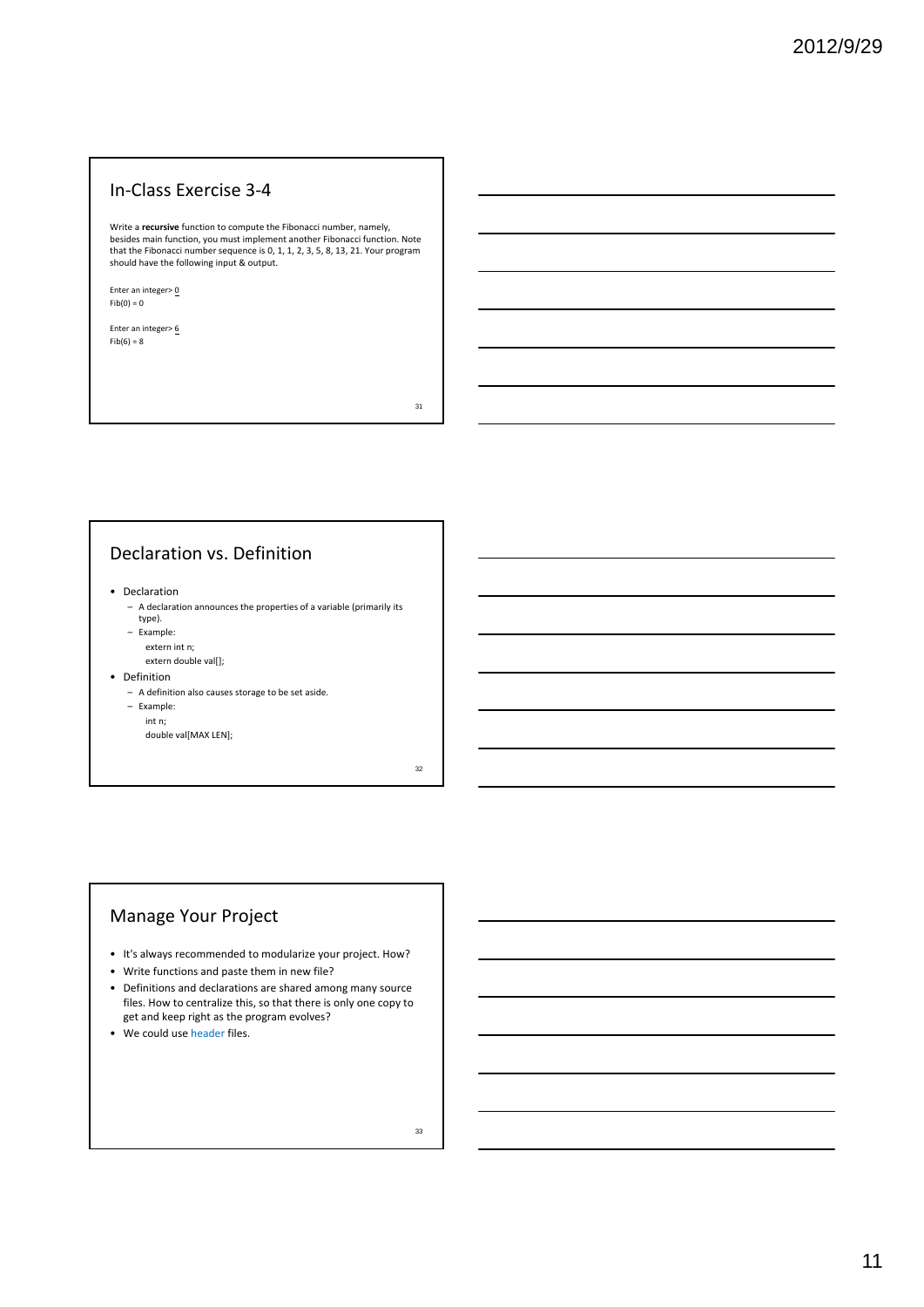#### In‐Class Exercise 3‐4

Write a **recursive** function to compute the Fibonacci number, namely, besides main function, you must implement another Fibonacci function. Note that the Fibonacci number sequence is 0, 1, 1, 2, 3, 5, 8, 13, 21. Your program should have the following input & output.

Enter an integer> $\underline{0}$  $Fib(0) = 0$ 

Enter an integer> $6$  $Fib(6) = 8$ 

31

#### Declaration vs. Definition

• Declaration

- A declaration announces the properties of a variable (primarily its type).
- Example:
- extern int n;
- extern double val[];
- Definition
	- A definition also causes storage to be set aside.

– Example:

int n; double val[MAX LEN];

32

#### Manage Your Project

- It's always recommended to modularize your project. How?
- Write functions and paste them in new file?
- Definitions and declarations are shared among many source files. How to centralize this, so that there is only one copy to get and keep right as the program evolves?
- We could use header files.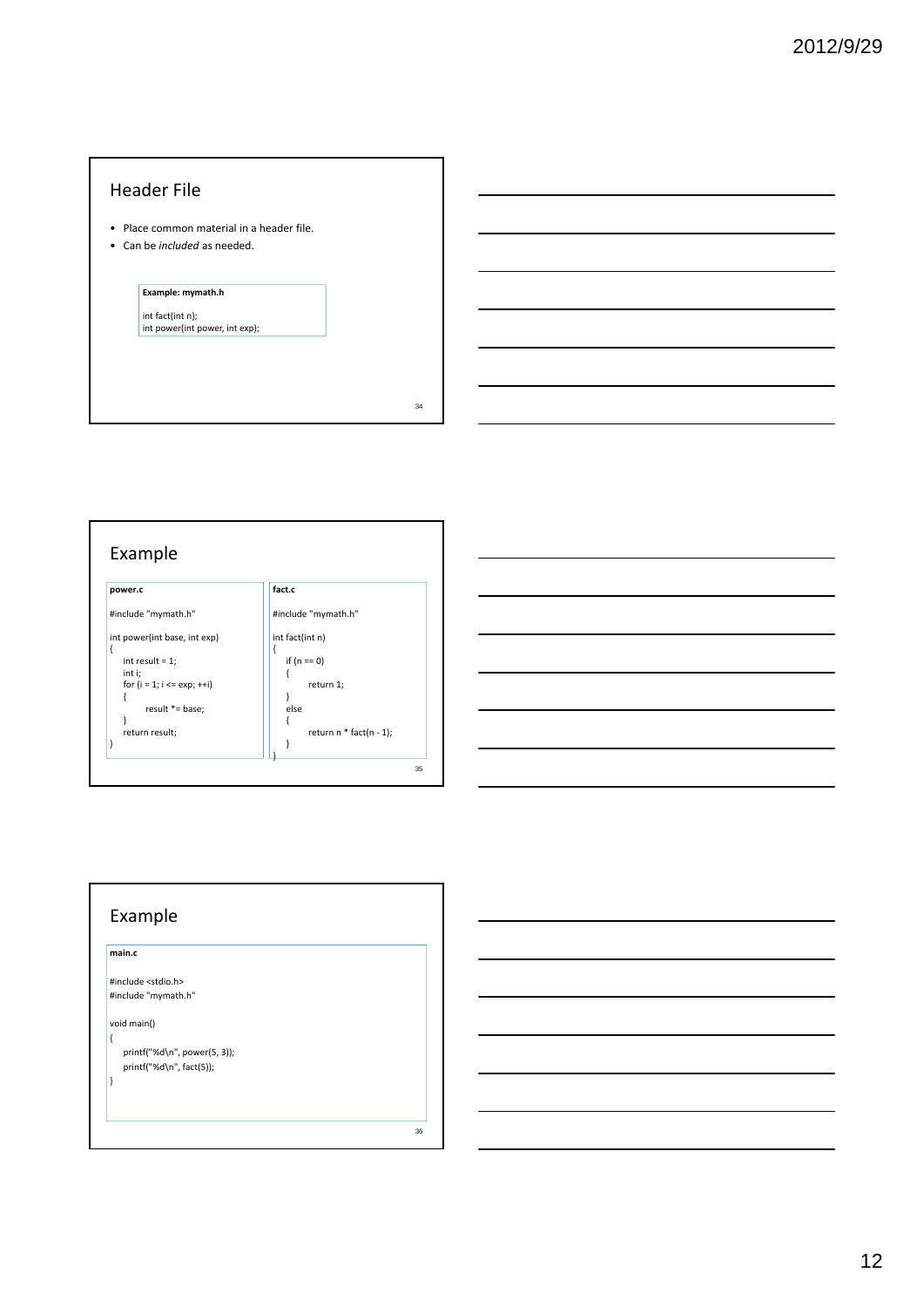#### Header File

- Place common material in a header file.
- Can be *included* as needed.

## **Example: mymath.h**

int fact(int n); int power(int power, int exp);